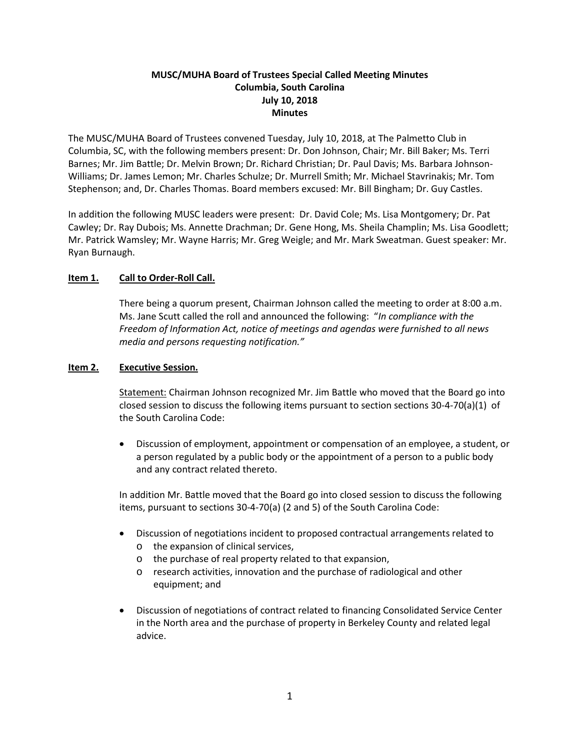## **MUSC/MUHA Board of Trustees Special Called Meeting Minutes Columbia, South Carolina July 10, 2018 Minutes**

The MUSC/MUHA Board of Trustees convened Tuesday, July 10, 2018, at The Palmetto Club in Columbia, SC, with the following members present: Dr. Don Johnson, Chair; Mr. Bill Baker; Ms. Terri Barnes; Mr. Jim Battle; Dr. Melvin Brown; Dr. Richard Christian; Dr. Paul Davis; Ms. Barbara Johnson-Williams; Dr. James Lemon; Mr. Charles Schulze; Dr. Murrell Smith; Mr. Michael Stavrinakis; Mr. Tom Stephenson; and, Dr. Charles Thomas. Board members excused: Mr. Bill Bingham; Dr. Guy Castles.

In addition the following MUSC leaders were present: Dr. David Cole; Ms. Lisa Montgomery; Dr. Pat Cawley; Dr. Ray Dubois; Ms. Annette Drachman; Dr. Gene Hong, Ms. Sheila Champlin; Ms. Lisa Goodlett; Mr. Patrick Wamsley; Mr. Wayne Harris; Mr. Greg Weigle; and Mr. Mark Sweatman. Guest speaker: Mr. Ryan Burnaugh.

## **Item 1. Call to Order-Roll Call.**

There being a quorum present, Chairman Johnson called the meeting to order at 8:00 a.m. Ms. Jane Scutt called the roll and announced the following: "*In compliance with the Freedom of Information Act, notice of meetings and agendas were furnished to all news media and persons requesting notification."*

#### **Item 2. Executive Session.**

Statement: Chairman Johnson recognized Mr. Jim Battle who moved that the Board go into closed session to discuss the following items pursuant to section sections 30-4-70(a)(1) of the South Carolina Code:

• Discussion of employment, appointment or compensation of an employee, a student, or a person regulated by a public body or the appointment of a person to a public body and any contract related thereto.

In addition Mr. Battle moved that the Board go into closed session to discuss the following items, pursuant to sections 30-4-70(a) (2 and 5) of the South Carolina Code:

- Discussion of negotiations incident to proposed contractual arrangements related to
	- o the expansion of clinical services,
	- o the purchase of real property related to that expansion,
	- o research activities, innovation and the purchase of radiological and other equipment; and
- Discussion of negotiations of contract related to financing Consolidated Service Center in the North area and the purchase of property in Berkeley County and related legal advice.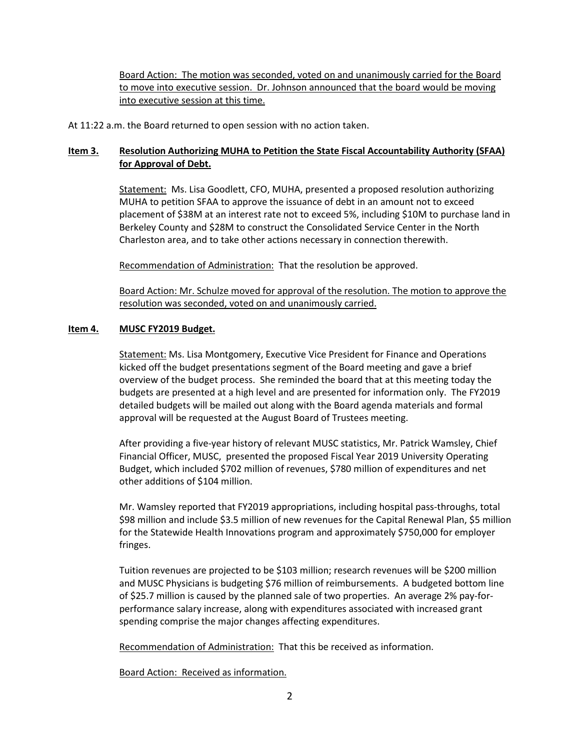Board Action: The motion was seconded, voted on and unanimously carried for the Board to move into executive session. Dr. Johnson announced that the board would be moving into executive session at this time.

At 11:22 a.m. the Board returned to open session with no action taken.

# **Item 3. Resolution Authorizing MUHA to Petition the State Fiscal Accountability Authority (SFAA) for Approval of Debt.**

Statement: Ms. Lisa Goodlett, CFO, MUHA, presented a proposed resolution authorizing MUHA to petition SFAA to approve the issuance of debt in an amount not to exceed placement of \$38M at an interest rate not to exceed 5%, including \$10M to purchase land in Berkeley County and \$28M to construct the Consolidated Service Center in the North Charleston area, and to take other actions necessary in connection therewith.

Recommendation of Administration: That the resolution be approved.

Board Action: Mr. Schulze moved for approval of the resolution. The motion to approve the resolution was seconded, voted on and unanimously carried.

#### **Item 4. MUSC FY2019 Budget.**

Statement: Ms. Lisa Montgomery, Executive Vice President for Finance and Operations kicked off the budget presentations segment of the Board meeting and gave a brief overview of the budget process. She reminded the board that at this meeting today the budgets are presented at a high level and are presented for information only. The FY2019 detailed budgets will be mailed out along with the Board agenda materials and formal approval will be requested at the August Board of Trustees meeting.

After providing a five-year history of relevant MUSC statistics, Mr. Patrick Wamsley, Chief Financial Officer, MUSC, presented the proposed Fiscal Year 2019 University Operating Budget, which included \$702 million of revenues, \$780 million of expenditures and net other additions of \$104 million.

Mr. Wamsley reported that FY2019 appropriations, including hospital pass-throughs, total \$98 million and include \$3.5 million of new revenues for the Capital Renewal Plan, \$5 million for the Statewide Health Innovations program and approximately \$750,000 for employer fringes.

Tuition revenues are projected to be \$103 million; research revenues will be \$200 million and MUSC Physicians is budgeting \$76 million of reimbursements. A budgeted bottom line of \$25.7 million is caused by the planned sale of two properties. An average 2% pay-forperformance salary increase, along with expenditures associated with increased grant spending comprise the major changes affecting expenditures.

Recommendation of Administration: That this be received as information.

Board Action: Received as information.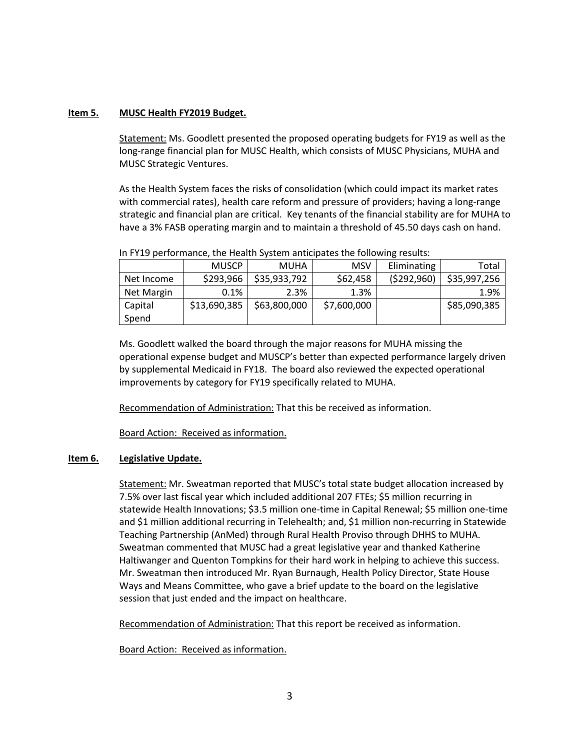#### **Item 5. MUSC Health FY2019 Budget.**

Statement: Ms. Goodlett presented the proposed operating budgets for FY19 as well as the long-range financial plan for MUSC Health, which consists of MUSC Physicians, MUHA and MUSC Strategic Ventures.

As the Health System faces the risks of consolidation (which could impact its market rates with commercial rates), health care reform and pressure of providers; having a long-range strategic and financial plan are critical. Key tenants of the financial stability are for MUHA to have a 3% FASB operating margin and to maintain a threshold of 45.50 days cash on hand.

|            | <b>MUSCP</b> | <b>MUHA</b>  | <b>MSV</b>  | Eliminating | Total        |
|------------|--------------|--------------|-------------|-------------|--------------|
| Net Income | \$293,966    | \$35,933,792 | \$62,458    | (5292,960)  | \$35,997,256 |
| Net Margin | 0.1%         | 2.3%         | 1.3%        |             | 1.9%         |
| Capital    | \$13,690,385 | \$63,800,000 | \$7,600,000 |             | \$85,090,385 |
| Spend      |              |              |             |             |              |

| In FY19 performance, the Health System anticipates the following results: |  |  |  |
|---------------------------------------------------------------------------|--|--|--|
|                                                                           |  |  |  |

Ms. Goodlett walked the board through the major reasons for MUHA missing the operational expense budget and MUSCP's better than expected performance largely driven by supplemental Medicaid in FY18. The board also reviewed the expected operational improvements by category for FY19 specifically related to MUHA.

Recommendation of Administration: That this be received as information.

Board Action: Received as information.

#### **Item 6. Legislative Update.**

Statement: Mr. Sweatman reported that MUSC's total state budget allocation increased by 7.5% over last fiscal year which included additional 207 FTEs; \$5 million recurring in statewide Health Innovations; \$3.5 million one-time in Capital Renewal; \$5 million one-time and \$1 million additional recurring in Telehealth; and, \$1 million non-recurring in Statewide Teaching Partnership (AnMed) through Rural Health Proviso through DHHS to MUHA. Sweatman commented that MUSC had a great legislative year and thanked Katherine Haltiwanger and Quenton Tompkins for their hard work in helping to achieve this success. Mr. Sweatman then introduced Mr. Ryan Burnaugh, Health Policy Director, State House Ways and Means Committee, who gave a brief update to the board on the legislative session that just ended and the impact on healthcare.

Recommendation of Administration: That this report be received as information.

Board Action: Received as information.